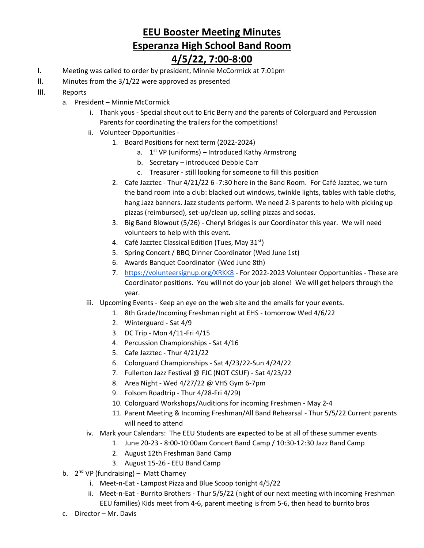## **EEU Booster Meeting Minutes Esperanza High School Band Room**

## **4/5/22, 7:00-8:00**

- I. Meeting was called to order by president, Minnie McCormick at 7:01pm
- II. Minutes from the 3/1/22 were approved as presented
- III. Reports
	- a. President Minnie McCormick
		- i. Thank yous Special shout out to Eric Berry and the parents of Colorguard and Percussion Parents for coordinating the trailers for the competitions!
		- ii. Volunteer Opportunities
			- 1. Board Positions for next term (2022-2024)
				- a. 1<sup>st</sup> VP (uniforms) Introduced Kathy Armstrong
				- b. Secretary introduced Debbie Carr
				- c. Treasurer still looking for someone to fill this position
			- 2. Cafe Jazztec Thur 4/21/22 6 -7:30 here in the Band Room. For Café Jazztec, we turn the band room into a club: blacked out windows, twinkle lights, tables with table cloths, hang Jazz banners. Jazz students perform. We need 2-3 parents to help with picking up pizzas (reimbursed), set-up/clean up, selling pizzas and sodas.
			- 3. Big Band Blowout (5/26) Cheryl Bridges is our Coordinator this year. We will need volunteers to help with this event.
			- 4. Café Jazztec Classical Edition (Tues, May 31<sup>st</sup>)
			- 5. Spring Concert / BBQ Dinner Coordinator (Wed June 1st)
			- 6. Awards Banquet Coordinator (Wed June 8th)
			- 7. <https://volunteersignup.org/XRKK8> For 2022-2023 Volunteer Opportunities These are Coordinator positions. You will not do your job alone! We will get helpers through the year.
		- iii. Upcoming Events Keep an eye on the web site and the emails for your events.
			- 1. 8th Grade/Incoming Freshman night at EHS tomorrow Wed 4/6/22
			- 2. Winterguard Sat 4/9
			- 3. DC Trip Mon 4/11-Fri 4/15
			- 4. Percussion Championships Sat 4/16
			- 5. Cafe Jazztec Thur 4/21/22
			- 6. Colorguard Championships Sat 4/23/22-Sun 4/24/22
			- 7. Fullerton Jazz Festival @ FJC (NOT CSUF) Sat 4/23/22
			- 8. Area Night Wed 4/27/22 @ VHS Gym 6-7pm
			- 9. Folsom Roadtrip Thur 4/28-Fri 4/29)
			- 10. Colorguard Workshops/Auditions for incoming Freshmen May 2-4
			- 11. Parent Meeting & Incoming Freshman/All Band Rehearsal Thur 5/5/22 Current parents will need to attend
		- iv. Mark your Calendars: The EEU Students are expected to be at all of these summer events
			- 1. June 20-23 8:00-10:00am Concert Band Camp / 10:30-12:30 Jazz Band Camp
				- 2. August 12th Freshman Band Camp
				- 3. August 15-26 EEU Band Camp
	- b. 2<sup>nd</sup> VP (fundraising) Matt Charney
		- i. Meet-n-Eat Lampost Pizza and Blue Scoop tonight 4/5/22
		- ii. Meet-n-Eat Burrito Brothers Thur 5/5/22 (night of our next meeting with incoming Freshman EEU families) Kids meet from 4-6, parent meeting is from 5-6, then head to burrito bros
	- c. Director Mr. Davis